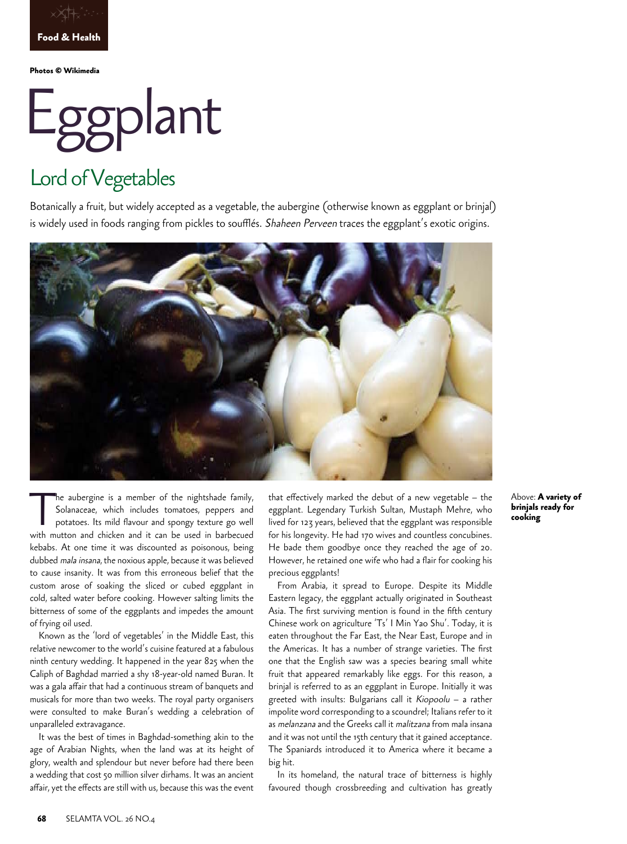

**Photos © Wikimedia** 

# Eggplant

## Lord of Vegetables

Botanically a fruit, but widely accepted as a vegetable, the aubergine (otherwise known as eggplant or brinjal) is widely used in foods ranging from pickles to soufflés. Shaheen Perveen traces the eggplant's exotic origins.



The aubergine is a member of the nightshade family,<br>Solanaceae, which includes tomatoes, peppers and<br>potatoes. Its mild flavour and spongy texture go well<br>with mutton and chicken and it can be used in barbecued Solanaceae, which includes tomatoes, peppers and potatoes. Its mild flavour and spongy texture go well with mutton and chicken and it can be used in barbecued kebabs. At one time it was discounted as poisonous, being dubbed mala insana, the noxious apple, because it was believed to cause insanity. It was from this erroneous belief that the custom arose of soaking the sliced or cubed eggplant in cold, salted water before cooking. However salting limits the bitterness of some of the eggplants and impedes the amount of frying oil used.

Known as the 'lord of vegetables' in the Middle East, this relative newcomer to the world's cuisine featured at a fabulous ninth century wedding. It happened in the year 825 when the Caliph of Baghdad married a shy 18-year-old named Buran. It was a gala affair that had a continuous stream of banquets and musicals for more than two weeks. The royal party organisers were consulted to make Buran's wedding a celebration of unparalleled extravagance.

It was the best of times in Baghdad-something akin to the age of Arabian Nights, when the land was at its height of glory, wealth and splendour but never before had there been a wedding that cost 50 million silver dirhams. It was an ancient affair, yet the effects are still with us, because this was the event

that effectively marked the debut of a new vegetable – the eggplant. Legendary Turkish Sultan, Mustaph Mehre, who lived for 123 years, believed that the eggplant was responsible for his longevity. He had 170 wives and countless concubines. He bade them goodbye once they reached the age of 20. However, he retained one wife who had a flair for cooking his precious eggplants!

From Arabia, it spread to Europe. Despite its Middle Eastern legacy, the eggplant actually originated in Southeast Asia. The first surviving mention is found in the fifth century Chinese work on agriculture 'Ts' I Min Yao Shu'. Today, it is eaten throughout the Far East, the Near East, Europe and in the Americas. It has a number of strange varieties. The first one that the English saw was a species bearing small white fruit that appeared remarkably like eggs. For this reason, a brinjal is referred to as an eggplant in Europe. Initially it was greeted with insults: Bulgarians call it Kiopoolu – a rather impolite word corresponding to a scoundrel; Italians refer to it as melanzana and the Greeks call it malitzana from mala insana and it was not until the 15th century that it gained acceptance. The Spaniards introduced it to America where it became a big hit.

In its homeland, the natural trace of bitterness is highly favoured though crossbreeding and cultivation has greatly Above: **A variety of brinjals ready for cooking**